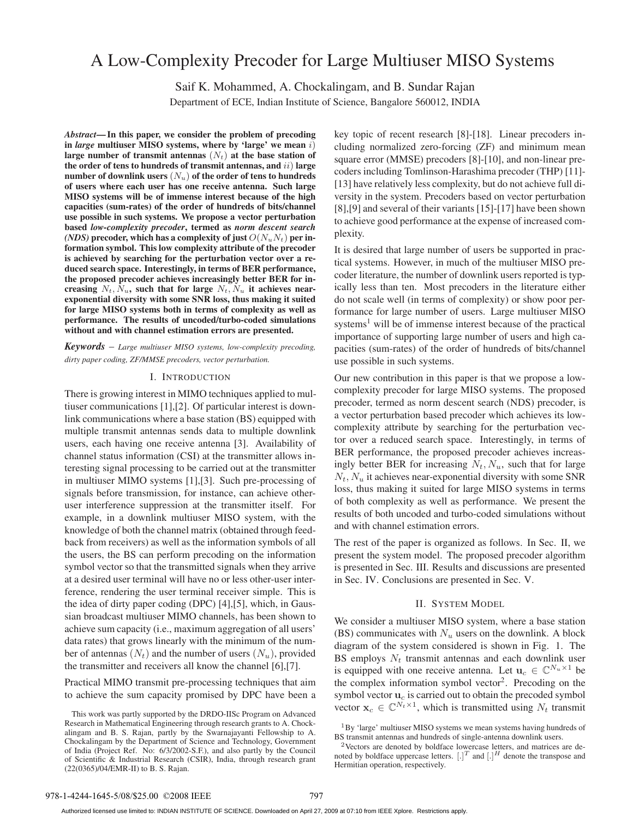# A Low-Complexity Precoder for Large Multiuser MISO Systems

Saif K. Mohammed, A. Chockalingam, and B. Sundar Rajan

Department of ECE, Indian Institute of Science, Bangalore 560012, INDIA

*Abstract***— In this paper, we consider the problem of precoding in** *large* **multiuser MISO systems, where by 'large' we mean** i) large number of transmit antennas  $(N_t)$  at the base station of **the order of tens to hundreds of transmit antennas, and** ii) **large number of downlink users**  $(N_u)$  of the order of tens to hundreds **of users where each user has one receive antenna. Such large MISO systems will be of immense interest because of the high capacities (sum-rates) of the order of hundreds of bits/channel use possible in such systems. We propose a vector perturbation based** *low-complexity precoder***, termed as** *norm descent search (NDS)* precoder, which has a complexity of just  $O(N_u N_t)$  per in**formation symbol. This low complexity attribute of the precoder is achieved by searching for the perturbation vector over a reduced search space. Interestingly, in terms of BER performance, the proposed precoder achieves increasingly better BER for in**creasing  $N_t$ ,  $N_u$ , such that for large  $N_t$ ,  $N_u$  it achieves near**exponential diversity with some SNR loss, thus making it suited for large MISO systems both in terms of complexity as well as performance. The results of uncoded/turbo-coded simulations without and with channel estimation errors are presented.**

*Keywords* – *Large multiuser MISO systems, low-complexity precoding, dirty paper coding, ZF/MMSE precoders, vector perturbation.*

### I. INTRODUCTION

There is growing interest in MIMO techniques applied to multiuser communications [1],[2]. Of particular interest is downlink communications where a base station (BS) equipped with multiple transmit antennas sends data to multiple downlink users, each having one receive antenna [3]. Availability of channel status information (CSI) at the transmitter allows interesting signal processing to be carried out at the transmitter in multiuser MIMO systems [1],[3]. Such pre-processing of signals before transmission, for instance, can achieve otheruser interference suppression at the transmitter itself. For example, in a downlink multiuser MISO system, with the knowledge of both the channel matrix (obtained through feedback from receivers) as well as the information symbols of all the users, the BS can perform precoding on the information symbol vector so that the transmitted signals when they arrive at a desired user terminal will have no or less other-user interference, rendering the user terminal receiver simple. This is the idea of dirty paper coding (DPC) [4],[5], which, in Gaussian broadcast multiuser MIMO channels, has been shown to achieve sum capacity (i.e., maximum aggregation of all users' data rates) that grows linearly with the minimum of the number of antennas  $(N_t)$  and the number of users  $(N_u)$ , provided the transmitter and receivers all know the channel [6],[7].

Practical MIMO transmit pre-processing techniques that aim to achieve the sum capacity promised by DPC have been a key topic of recent research [8]-[18]. Linear precoders including normalized zero-forcing (ZF) and minimum mean square error (MMSE) precoders [8]-[10], and non-linear precoders including Tomlinson-Harashima precoder (THP) [11]- [13] have relatively less complexity, but do not achieve full diversity in the system. Precoders based on vector perturbation [8],[9] and several of their variants [15]-[17] have been shown to achieve good performance at the expense of increased complexity.

It is desired that large number of users be supported in practical systems. However, in much of the multiuser MISO precoder literature, the number of downlink users reported is typically less than ten. Most precoders in the literature either do not scale well (in terms of complexity) or show poor performance for large number of users. Large multiuser MISO systems<sup>1</sup> will be of immense interest because of the practical importance of supporting large number of users and high capacities (sum-rates) of the order of hundreds of bits/channel use possible in such systems.

Our new contribution in this paper is that we propose a lowcomplexity precoder for large MISO systems. The proposed precoder, termed as norm descent search (NDS) precoder, is a vector perturbation based precoder which achieves its lowcomplexity attribute by searching for the perturbation vector over a reduced search space. Interestingly, in terms of BER performance, the proposed precoder achieves increasingly better BER for increasing  $N_t$ ,  $N_u$ , such that for large  $N_t$ ,  $N_u$  it achieves near-exponential diversity with some SNR loss, thus making it suited for large MISO systems in terms of both complexity as well as performance. We present the results of both uncoded and turbo-coded simulations without and with channel estimation errors.

The rest of the paper is organized as follows. In Sec. II, we present the system model. The proposed precoder algorithm is presented in Sec. III. Results and discussions are presented in Sec. IV. Conclusions are presented in Sec. V.

# II. SYSTEM MODEL

We consider a multiuser MISO system, where a base station (BS) communicates with  $N_u$  users on the downlink. A block diagram of the system considered is shown in Fig. 1. The BS employs  $N_t$  transmit antennas and each downlink user is equipped with one receive antenna. Let  $\mathbf{u}_c \in \mathbb{C}^{N_u \times 1}$  be the complex information symbol vector<sup>2</sup>. Precoding on the symbol vector  $\mathbf{u}_c$  is carried out to obtain the precoded symbol vector  $\mathbf{x}_c \in \mathbb{C}^{N_t \times 1}$ , which is transmitted using  $N_t$  transmit

This work was partly supported by the DRDO-IISc Program on Advanced Research in Mathematical Engineering through research grants to A. Chockalingam and B. S. Rajan, partly by the Swarnajayanti Fellowship to A. Chockalingam by the Department of Science and Technology, Government of India (Project Ref. No: 6/3/2002-S.F.), and also partly by the Council of Scientific & Industrial Research (CSIR), India, through research grant (22(0365)/04/EMR-II) to B. S. Rajan.

<sup>&</sup>lt;sup>1</sup>By 'large' multiuser MISO systems we mean systems having hundreds of BS transmit antennas and hundreds of single-antenna downlink users.

<sup>&</sup>lt;sup>2</sup>Vectors are denoted by boldface lowercase letters, and matrices are denoted by boldface uppercase letters.  $[.]^T$  and  $[.]^H$  denote the transpose and Hermitian operation, respectively.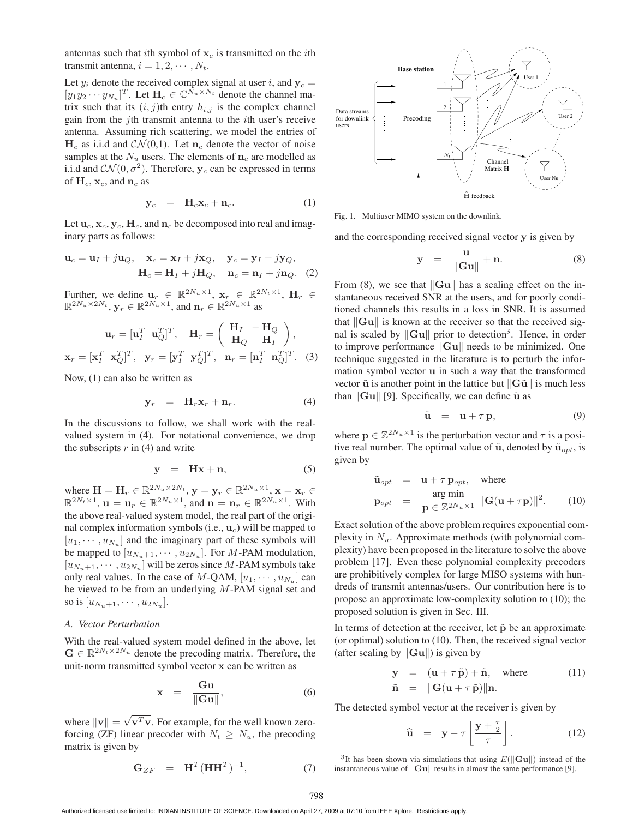antennas such that ith symbol of  $x_c$  is transmitted on the ith transmit antenna,  $i = 1, 2, \cdots, N_t$ .

Let  $y_i$  denote the received complex signal at user i, and  $y_c$  =  $[y_1y_2\cdots y_{N_u}]^T$ . Let  $\mathbf{H}_c \in \mathbb{C}^{N_u \times N_t}$  denote the channel ma-<br>trix such that its *(i j*)th entry  $h$ . is the complex channel trix such that its  $(i, j)$ th entry  $h_{i,j}$  is the complex channel gain from the jth transmit antenna to the ith user's receive antenna. Assuming rich scattering, we model the entries of  $H_c$  as i.i.d and  $CN(0,1)$ . Let  $n_c$  denote the vector of noise samples at the  $N_u$  users. The elements of  $n_c$  are modelled as i.i.d and  $CN(0, \sigma^2)$ . Therefore,  $y_c$  can be expressed in terms of  $H_c$ ,  $x_c$ , and  $n_c$  as

$$
\mathbf{y}_c = \mathbf{H}_c \mathbf{x}_c + \mathbf{n}_c. \tag{1}
$$

Let  $\mathbf{u}_c$ ,  $\mathbf{x}_c$ ,  $\mathbf{y}_c$ ,  $\mathbf{H}_c$ , and  $\mathbf{n}_c$  be decomposed into real and imaginary parts as follows:

$$
\mathbf{u}_c = \mathbf{u}_I + j\mathbf{u}_Q, \quad \mathbf{x}_c = \mathbf{x}_I + j\mathbf{x}_Q, \quad \mathbf{y}_c = \mathbf{y}_I + j\mathbf{y}_Q, \mathbf{H}_c = \mathbf{H}_I + j\mathbf{H}_Q, \quad \mathbf{n}_c = \mathbf{n}_I + j\mathbf{n}_Q.
$$
 (2)

Further, we define  $\mathbf{u}_r \in \mathbb{R}^{2N_u \times 1}$ ,  $\mathbf{x}_r \in \mathbb{R}^{2N_t \times 1}$ ,  $\mathbf{H}_r \in \mathbb{R}^{2N_t \times 1}$  $\mathbb{R}^{2N_u \times 2N_t}$ ,  $\mathbf{y}_r \in \mathbb{R}^{2N_u \times 1}$ , and  $\mathbf{n}_r \in \mathbb{R}^{2N_u \times 1}$  as

$$
\mathbf{u}_r = [\mathbf{u}_I^T \ \mathbf{u}_Q^T]^T, \quad \mathbf{H}_r = \begin{pmatrix} \mathbf{H}_I & -\mathbf{H}_Q \\ \mathbf{H}_Q & \mathbf{H}_I \end{pmatrix},
$$

$$
\mathbf{x}_r = [\mathbf{x}_I^T \ \mathbf{x}_Q^T]^T, \quad \mathbf{y}_r = [\mathbf{y}_I^T \ \mathbf{y}_Q^T]^T, \quad \mathbf{n}_r = [\mathbf{n}_I^T \ \mathbf{n}_Q^T]^T. \tag{3}
$$

Now, (1) can also be written as

$$
\mathbf{y}_r = \mathbf{H}_r \mathbf{x}_r + \mathbf{n}_r. \tag{4}
$$

In the discussions to follow, we shall work with the realvalued system in (4). For notational convenience, we drop the subscripts  $r$  in (4) and write

$$
y = Hx + n, \tag{5}
$$

where  $\mathbf{H} = \mathbf{H}_r \in \mathbb{R}^{2N_u \times 2N_t}, \mathbf{y} = \mathbf{y}_r \in \mathbb{R}^{2N_u \times 1}, \mathbf{x} = \mathbf{x}_r \in \mathbb{R}^{2N_t \times 1}, \mathbf{u} = \mathbf{u} \in \mathbb{R}^{2N_u \times 1}, \text{ and } \mathbf{n} = \mathbf{n} \in \mathbb{R}^{2N_u \times 1}, \text{ With }$  $\mathbb{R}^{2N_t \times 1}$ ,  $\mathbf{u} = \mathbf{u}_r \in \mathbb{R}^{2N_u \times 1}$ , and  $\mathbf{n} = \mathbf{n}_r \in \mathbb{R}^{2N_u \times 1}$ . With the above real-valued system model, the real part of the origithe above real-valued system model, the real part of the original complex information symbols (i.e.,  $\mathbf{u}_c$ ) will be mapped to  $[u_1, \dots, u_{N_u}]$  and the imaginary part of these symbols will be mapped to  $[u_{N_u+1}, \cdots, u_{2N_u}]$ . For M-PAM modulation,  $[u_{N_u+1}, \cdots, u_{2N_u}]$  will be zeros since M-PAM symbols take only real values. In the case of M-QAM,  $[u_1, \dots, u_{N_u}]$  can be viewed to be from an underlying M-PAM signal set and so is  $[u_{N_u+1}, \cdots, u_{2N_u}].$ 

# *A. Vector Perturbation*

With the real-valued system model defined in the above, let  $\mathbf{G} \in \mathbb{R}^{2N_t \times 2N_u}$  denote the precoding matrix. Therefore, the unit-norm transmitted symbol vector **x** can be written as

$$
\mathbf{x} = \frac{\mathbf{G}\mathbf{u}}{\|\mathbf{G}\mathbf{u}\|},\tag{6}
$$

where  $\|\mathbf{v}\| = \sqrt{\mathbf{v}^T \mathbf{v}}$ . For example, for the well known zero-<br>forcing (ZF) linear precoder with  $N_e > N$  the precoding forcing (ZF) linear precoder with  $N_t \geq N_u$ , the precoding matrix is given by

$$
\mathbf{G}_{ZF} = \mathbf{H}^T (\mathbf{H} \mathbf{H}^T)^{-1}, \tag{7}
$$



Fig. 1. Multiuser MIMO system on the downlink.

and the corresponding received signal vector **y** is given by

$$
y = \frac{u}{\|Gu\|} + n. \tag{8}
$$

From (8), we see that  $\|\mathbf{G}\mathbf{u}\|$  has a scaling effect on the instantaneous received SNR at the users, and for poorly conditioned channels this results in a loss in SNR. It is assumed that  $\|\mathbf{G}\mathbf{u}\|$  is known at the receiver so that the received signal is scaled by  $\|\mathbf{G}\mathbf{u}\|$  prior to detection<sup>3</sup>. Hence, in order to improve performance  $\|\mathbf{G}\mathbf{u}\|$  needs to be minimized. One technique suggested in the literature is to perturb the information symbol vector **u** in such a way that the transformed vector  $\tilde{u}$  is another point in the lattice but  $\|\tilde{G}\tilde{u}\|$  is much less than  $\|\tilde{G}u\|$  [9]. Specifically we can define  $\tilde{u}$  as than  $\|\mathbf{G}\mathbf{u}\|$  [9]. Specifically, we can define  $\tilde{\mathbf{u}}$  as

$$
\tilde{\mathbf{u}} = \mathbf{u} + \tau \mathbf{p}, \tag{9}
$$

where  $\mathbf{p} \in \mathbb{Z}^{2N_u \times 1}$  is the perturbation vector and  $\tau$  is a positive real number. The optimal value of  $\tilde{u}$ , denoted by  $\tilde{u}_{opt}$ , is given by

$$
\tilde{\mathbf{u}}_{opt} = \mathbf{u} + \tau \mathbf{p}_{opt}, \text{ where}
$$
\n
$$
\mathbf{p}_{opt} = \mathbf{arg min} \mathbf{p} \in \mathbb{Z}^{2N_u \times 1} \|\mathbf{G}(\mathbf{u} + \tau \mathbf{p})\|^2. \quad (10)
$$

Exact solution of the above problem requires exponential complexity in  $N_u$ . Approximate methods (with polynomial complexity) have been proposed in the literature to solve the above problem [17]. Even these polynomial complexity precoders are prohibitively complex for large MISO systems with hundreds of transmit antennas/users. Our contribution here is to propose an approximate low-complexity solution to (10); the proposed solution is given in Sec. III.

In terms of detection at the receiver, let  $\tilde{p}$  be an approximate (or optimal) solution to (10). Then, the received signal vector (after scaling by  $\|\mathbf{Gu}\|$ ) is given by

$$
\mathbf{y} = (\mathbf{u} + \tau \tilde{\mathbf{p}}) + \tilde{\mathbf{n}}, \text{ where } (11)
$$
  
\n
$$
\tilde{\mathbf{n}} = ||\mathbf{G}(\mathbf{u} + \tau \tilde{\mathbf{p}})||\mathbf{n}.
$$

The detected symbol vector at the receiver is given by

$$
\widehat{\mathbf{u}} = \mathbf{y} - \tau \left[ \frac{\mathbf{y} + \frac{\tau}{2}}{\tau} \right]. \tag{12}
$$

<sup>3</sup>It has been shown via simulations that using  $E(||Gu||)$  instead of the instantaneous value of  $\|\mathbf{G}\mathbf{u}\|$  results in almost the same performance [9].

Authorized licensed use limited to: INDIAN INSTITUTE OF SCIENCE. Downloaded on April 27, 2009 at 07:10 from IEEE Xplore. Restrictions apply.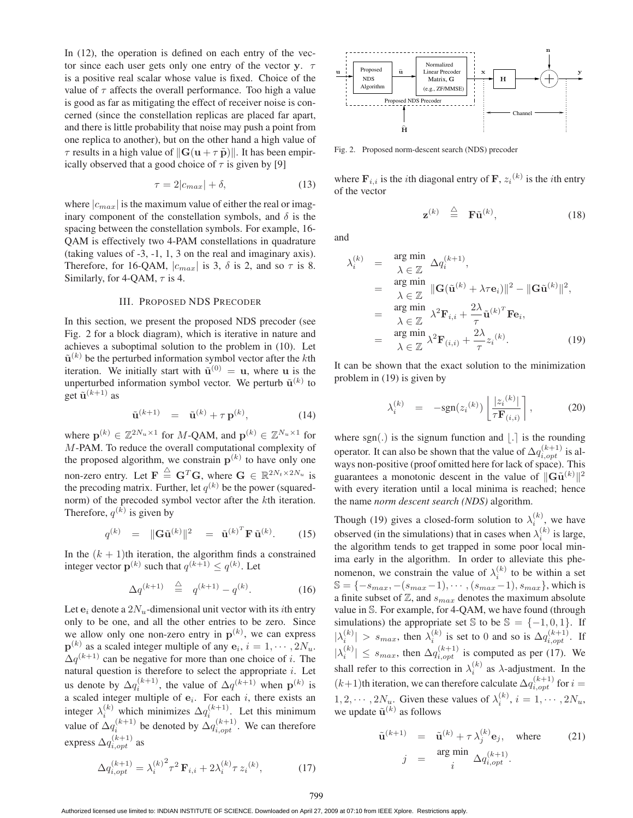In  $(12)$ , the operation is defined on each entry of the vector since each user gets only one entry of the vector **y**. τ is a positive real scalar whose value is fixed. Choice of the value of  $\tau$  affects the overall performance. Too high a value is good as far as mitigating the effect of receiver noise is concerned (since the constellation replicas are placed far apart, and there is little probability that noise may push a point from one replica to another), but on the other hand a high value of  $\tau$  results in a high value of  $\|\mathbf{G}(\mathbf{u} + \tau \tilde{\mathbf{p}})\|$ . It has been empirically observed that a good choice of  $\tau$  is given by [9] ically observed that a good choice of  $\tau$  is given by [9]

$$
\tau = 2|c_{max}| + \delta,\tag{13}
$$

where  $|c_{max}|$  is the maximum value of either the real or imaginary component of the constellation symbols, and  $\delta$  is the spacing between the constellation symbols. For example, 16- QAM is effectively two 4-PAM constellations in quadrature (taking values of -3, -1, 1, 3 on the real and imaginary axis). Therefore, for 16-QAM,  $|c_{max}|$  is 3,  $\delta$  is 2, and so  $\tau$  is 8. Similarly, for 4-QAM,  $\tau$  is 4.

#### III. PROPOSED NDS PRECODER

In this section, we present the proposed NDS precoder (see Fig. 2 for a block diagram), which is iterative in nature and achieves a suboptimal solution to the problem in (10). Let  $\tilde{\mathbf{u}}^{(k)}$  be the perturbed information symbol vector after the *k*th iteration. We initially start with  $\tilde{\mathbf{u}}^{(0)} = \mathbf{u}$ , where **u** is the unperturbed information symbol vector. We perturb  $\tilde{\mathbf{u}}^{(k)}$  to get  $\tilde{\mathbf{u}}^{(k+1)}$  as

$$
\tilde{\mathbf{u}}^{(k+1)} = \tilde{\mathbf{u}}^{(k)} + \tau \mathbf{p}^{(k)}, \tag{14}
$$

where  $\mathbf{p}^{(k)} \in \mathbb{Z}^{2N_u \times 1}$  for M-OAM, and  $\mathbf{p}^{(k)} \in \mathbb{Z}^{N_u \times 1}$  for M-PAM. To reduce the overall computational complexity of the proposed algorithm, we constrain  $p^{(k)}$  to have only one non-zero entry. Let  $\mathbf{F} \stackrel{\triangle}{=} \mathbf{G}^T \mathbf{G}$ , where  $\mathbf{G} \in \mathbb{R}^{2N_t \times 2N_u}$  is<br>the precoding matrix. Further let  $g^{(k)}$  be the power (squaredthe precoding matrix. Further, let  $q^{(k)}$  be the power (squarednorm) of the precoded symbol vector after the kth iteration. Therefore,  $q^{(k)}$  is given by

$$
q^{(k)} = \|\mathbf{G}\tilde{\mathbf{u}}^{(k)}\|^2 = \tilde{\mathbf{u}}^{(k)^T} \mathbf{F} \tilde{\mathbf{u}}^{(k)}.
$$
 (15)

In the  $(k + 1)$ th iteration, the algorithm finds a constrained integer vector  $\mathbf{p}^{(k)}$  such that  $q^{(k+1)} \leq q^{(k)}$ . Let

$$
\Delta q^{(k+1)} \stackrel{\triangle}{=} q^{(k+1)} - q^{(k)}.
$$
 (16)

Let  $e_i$  denote a  $2N_u$ -dimensional unit vector with its *i*th entry only to be one, and all the other entries to be zero. Since we allow only one non-zero entry in  $p^{(k)}$ , we can express  $\mathbf{p}^{(k)}$  as a scaled integer multiple of any  $\mathbf{e}_i$ ,  $i = 1, \cdots, 2N_u$ .  $\Delta q^{(k+1)}$  can be negative for more than one choice of i. The natural question is therefore to select the appropriate  $i$ . Let us denote by  $\Delta q_i^{(k+1)}$ , the value of  $\Delta q^{(k+1)}$  when  $\mathbf{p}^{(k)}$  is<br>a scaled integer multiple of  $\mathbf{e}_k$ . For each *i* there exists an a scaled integer multiple of  $e_i$ . For each i, there exists an integer  $\lambda_i^{(k)}$  which minimizes  $\Delta q_i^{(k+1)}$ . Let this minimum value of  $\Delta q_i^{(k+1)}$  be denoted by  $\Delta q_{i,opt}^{(k+1)}$ . We can therefore express  $\Delta q_{i,opt}^{(k+1)}$  as

$$
\Delta q_{i,opt}^{(k+1)} = \lambda_i^{(k)^2} \tau^2 \mathbf{F}_{i,i} + 2\lambda_i^{(k)} \tau z_i^{(k)},
$$
(17)



Fig. 2. Proposed norm-descent search (NDS) precoder

where  $\mathbf{F}_{i,i}$  is the *i*th diagonal entry of  $\mathbf{F}, z_i^{(k)}$  is the *i*th entry of the vector

$$
\mathbf{z}^{(k)} \stackrel{\triangle}{=} \mathbf{F}\tilde{\mathbf{u}}^{(k)}, \tag{18}
$$

and

$$
\lambda_i^{(k)} = \mathop{\arg \min}_{\lambda \in \mathbb{Z}} \Delta q_i^{(k+1)},
$$
  
\n
$$
= \mathop{\arg \min}_{\lambda \in \mathbb{Z}} \|\mathbf{G}(\tilde{\mathbf{u}}^{(k)} + \lambda \tau \mathbf{e}_i)\|^2 - \|\mathbf{G}\tilde{\mathbf{u}}^{(k)}\|^2,
$$
  
\n
$$
= \mathop{\arg \min}_{\lambda \in \mathbb{Z}} \lambda^2 \mathbf{F}_{i,i} + \frac{2\lambda}{\tau} \tilde{\mathbf{u}}^{(k)T} \mathbf{F} \mathbf{e}_i,
$$
  
\n
$$
= \mathop{\arg \min}_{\lambda \in \mathbb{Z}} \lambda^2 \mathbf{F}_{(i,i)} + \frac{2\lambda}{\tau} z_i^{(k)}.
$$
 (19)

It can be shown that the exact solution to the minimization problem in (19) is given by

$$
\lambda_i^{(k)} = -\text{sgn}(z_i^{(k)}) \left\lfloor \frac{|z_i^{(k)}|}{\tau \mathbf{F}_{(i,i)}} \right\rfloor, \tag{20}
$$

where  $sgn(.)$  is the signum function and  $(.)$  is the rounding operator. It can also be shown that the value of  $\Delta q_{i, opt}^{(k+1)}$  is al-<br>wave non-positive (proof omitted here for lack of space). This ways non-positive (proof omitted here for lack of space). This guarantees a monotonic descent in the value of  $\|\mathbf{G}\tilde{\mathbf{u}}^{(k)}\|^2$ <br>with every iteration until a local minima is reached: hence with every iteration until a local minima is reached; hence the name *norm descent search (NDS)* algorithm.

Though (19) gives a closed-form solution to  $\lambda_i^{(k)}$ , we have observed (in the simulations) that in cases when  $\lambda_i^{(k)}$  is large, the algorithm tends to get trapped in some poor local minima early in the algorithm. In order to alleviate this phenomenon, we constrain the value of  $\lambda_i^{(k)}$  to be within a set  $\mathbb{S} = \{-s_{max}, -(s_{max}-1), \cdots, (s_{max}-1), s_{max}\},$  which is a finite subset of  $\mathbb{Z}$ , and  $s_{max}$  denotes the maximum absolute value in S. For example, for 4-QAM, we have found (through simulations) the appropriate set S to be  $S = \{-1, 0, 1\}$ . If  $|\lambda_i^{(k)}| > s_{max}$ , then  $\lambda_i^{(k)}$  is set to 0 and so is  $\Delta q_{i,opt}^{(k+1)}$ . If  $|\lambda_i^{(k)}| \leq s_{max}$ , then  $\Delta q_{i,opt}^{(k+1)}$  is computed as per (17). We shall refer to this correction in  $\lambda_i^{(k)}$  as  $\lambda$ -adjustment. In the  $(k+1)$ th iteration, we can therefore calculate  $\Delta q_{i,opt}^{(k+1)}$  for  $i =$  $1, 2, \dots, 2N_u$ . Given these values of  $\lambda_i^{(k)}$ ,  $i = 1, \dots, 2N_u$ , we undate  $\tilde{\mathbf{u}}^{(k)}$  as follows we update  $\tilde{\mathbf{u}}^{(k)}$  as follows

$$
\tilde{\mathbf{u}}^{(k+1)} = \tilde{\mathbf{u}}^{(k)} + \tau \lambda_j^{(k)} \mathbf{e}_j, \text{ where } (21)
$$
\n
$$
j = \operatorname*{arg\;min}_{i} \Delta q_{i,opt}^{(k+1)}.
$$

Authorized licensed use limited to: INDIAN INSTITUTE OF SCIENCE. Downloaded on April 27, 2009 at 07:10 from IEEE Xplore. Restrictions apply.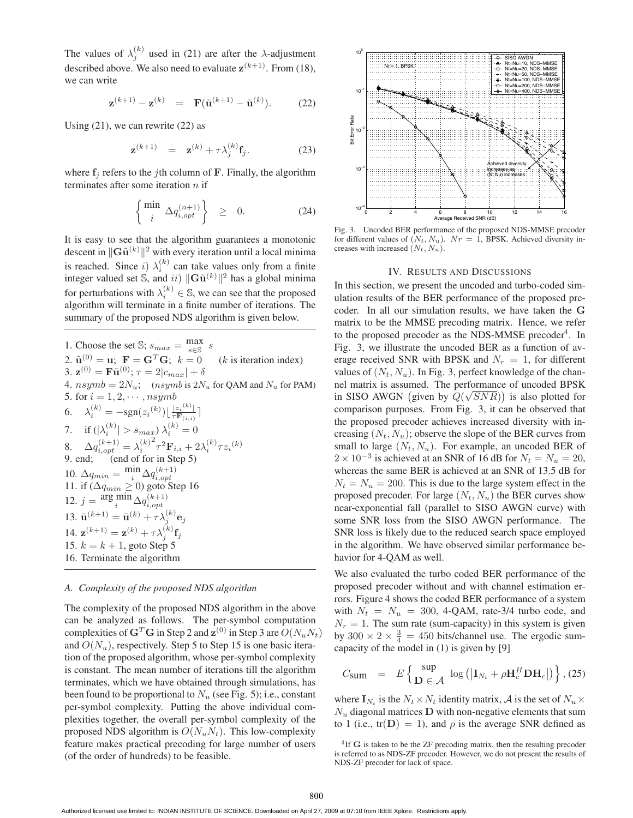The values of  $\lambda_j^{(k)}$  used in (21) are after the  $\lambda$ -adjustment described above. We also need to evaluate  $z^{(k+1)}$ . From (18), we can write

$$
\mathbf{z}^{(k+1)} - \mathbf{z}^{(k)} = \mathbf{F}(\tilde{\mathbf{u}}^{(k+1)} - \tilde{\mathbf{u}}^{(k)}).
$$
 (22)

Using  $(21)$ , we can rewrite  $(22)$  as

$$
\mathbf{z}^{(k+1)} = \mathbf{z}^{(k)} + \tau \lambda_j^{(k)} \mathbf{f}_j. \tag{23}
$$

where  $f_i$  refers to the *j*th column of  $\bf{F}$ . Finally, the algorithm terminates after some iteration  $n$  if

$$
\begin{cases} \min_{i} \Delta q_{i,opt}^{(n+1)} \end{cases} \geq 0. \tag{24}
$$

It is easy to see that the algorithm guarantees a monotonic descent in  $\|\mathbf{G}\tilde{\mathbf{u}}^{(k)}\|^2$  with every iteration until a local minima<br>is associated. Since  $\hat{\mathbf{G}}^{(k)}$  are the unities when the form a finite is reached. Since i)  $\lambda_i^{(k)}$  can take values only from a finite<br>integer valued set  $\sum_{i=1}^{\infty}$  and ii)  $||\mathbf{G} \tilde{\mathbf{n}}^{(k)}||^2$  has a global minima integer valued set S, and *ii*)  $\|\mathbf{G}\tilde{\mathbf{u}}^{(k)}\|^2$  has a global minima for perturbations with  $\lambda_i^{(k)} \in \mathbb{S}$ , we can see that the proposed algorithm will terminate in a finite number of iterations. The summary of the proposed NDS algorithm is given below.

1. Choose the set *S*; 
$$
s_{max} = \frac{\max}{s \in S}
$$
 *s*  
\n2.  $\tilde{\mathbf{u}}^{(0)} = \mathbf{u}$ ;  $\mathbf{F} = \mathbf{G}^T \mathbf{G}$ ;  $k = 0$  (*k* is iteration index)  
\n3.  $\mathbf{z}^{(0)} = \mathbf{F} \tilde{\mathbf{u}}^{(0)}$ ;  $\tau = 2|c_{max}| + \delta$   
\n4.  $nsymb = 2N_u$ ; (*nsymb* is  $2N_u$  for QAM and  $N_u$  for PAM)  
\n5. for  $i = 1, 2, \dots, nsymb$   
\n6.  $\lambda_i^{(k)} = -sgn(z_i^{(k)}) \lfloor \frac{|z_i^{(k)}|}{\tau \mathbf{F}_{(i,i)}} \rceil$   
\n7. if  $(|\lambda_i^{(k)}| > s_{max}) \lambda_i^{(k)} = 0$   
\n8.  $\Delta q_{i, opt}^{(k+1)} = \lambda_i^{(k)^2} \tau^2 \mathbf{F}_{i,i} + 2\lambda_i^{(k)} \tau z_i^{(k)}$   
\n9. end; (end of for in Step 5)  
\n10.  $\Delta q_{min} = \frac{\min}{i} \Delta q_{i,opt}^{(k+1)}$   
\n11. if  $(\Delta q_{min} \ge 0)$  goto Step 16  
\n12.  $j = \frac{\arg \min}{i} \Delta q_{i,opt}^{(k+1)}$   
\n13.  $\tilde{\mathbf{u}}^{(k+1)} = \tilde{\mathbf{u}}^{(k)} + \tau \lambda_j^{(k)} \mathbf{e}_j$   
\n14.  $\mathbf{z}^{(k+1)} = \mathbf{z}^{(k)} + \tau \lambda_j^{(k)} \mathbf{f}_j$   
\n15.  $k = k + 1$ , goto Step 5  
\n16. Terminate the algorithm

#### *A. Complexity of the proposed NDS algorithm*

The complexity of the proposed NDS algorithm in the above can be analyzed as follows. The per-symbol computation complexities of  $G<sup>T</sup>G$  in Step 2 and  $\mathbf{z}^{(0)}$  in Step 3 are  $O(N_uN_t)$ and  $O(N_u)$ , respectively. Step 5 to Step 15 is one basic iteration of the proposed algorithm, whose per-symbol complexity is constant. The mean number of iterations till the algorithm terminates, which we have obtained through simulations, has been found to be proportional to  $N_u$  (see Fig. 5); i.e., constant per-symbol complexity. Putting the above individual complexities together, the overall per-symbol complexity of the proposed NDS algorithm is  $O(N_uN_t)$ . This low-complexity feature makes practical precoding for large number of users (of the order of hundreds) to be feasible.



Fig. 3. Uncoded BER performance of the proposed NDS-MMSE precoder for different values of  $(N_t, N_u)$ .  $Nr = 1$ , BPSK. Achieved diversity increases with increased  $(N_t, N_u)$ .

## IV. RESULTS AND DISCUSSIONS

In this section, we present the uncoded and turbo-coded simulation results of the BER performance of the proposed precoder. In all our simulation results, we have taken the **G** matrix to be the MMSE precoding matrix. Hence, we refer to the proposed precoder as the NDS-MMSE precoder<sup>4</sup>. In Fig. 3, we illustrate the uncoded BER as a function of average received SNR with BPSK and  $N_r = 1$ , for different values of  $(N_t, N_u)$ . In Fig. 3, perfect knowledge of the channel matrix is assumed. The performance of uncoded BPSK in SISO AWGN (given by  $Q(\sqrt{SNR})$ ) is also plotted for<br>comparison purposes. From Fig. 3, it can be observed that comparison purposes. From Fig. 3, it can be observed that the proposed precoder achieves increased diversity with increasing  $(N_t, N_u)$ ; observe the slope of the BER curves from small to large  $(N_t, N_u)$ . For example, an uncoded BER of  $2 \times 10^{-3}$  is achieved at an SNR of 16 dB for  $N_t = N_u = 20$ , whereas the same BER is achieved at an SNR of 13.5 dB for  $N_t = N_u = 200$ . This is due to the large system effect in the proposed precoder. For large  $(N_t, N_u)$  the BER curves show near-exponential fall (parallel to SISO AWGN curve) with some SNR loss from the SISO AWGN performance. The SNR loss is likely due to the reduced search space employed in the algorithm. We have observed similar performance behavior for 4-QAM as well.

We also evaluated the turbo coded BER performance of the proposed precoder without and with channel estimation errors. Figure 4 shows the coded BER performance of a system with  $N_t = N_u = 300$ , 4-QAM, rate-3/4 turbo code, and  $N_r = 1$ . The sum rate (sum-capacity) in this system is given by  $300 \times 2 \times \frac{3}{4} = 450$  bits/channel use. The ergodic sum-<br>canacity of the model in (1) is given by [9] capacity of the model in (1) is given by [9]

$$
C_{\text{sum}} = E\left\{\begin{array}{l l} \sup \\ \mathbf{D} \in \mathcal{A} \end{array} \log\left(\left|\mathbf{I}_{N_t} + \rho \mathbf{H}_c^H \mathbf{D} \mathbf{H}_c\right|\right) \right\}, (25)
$$

where  $I_{N_t}$  is the  $N_t \times N_t$  identity matrix, A is the set of  $N_u \times$  $N_u$  diagonal matrices  $D$  with non-negative elements that sum to 1 (i.e.,  $tr(D) = 1$ ), and  $\rho$  is the average SNR defined as

<sup>&</sup>lt;sup>4</sup>If **G** is taken to be the ZF precoding matrix, then the resulting precoder is referred to as NDS-ZF precoder. However, we do not present the results of NDS-ZF precoder for lack of space.